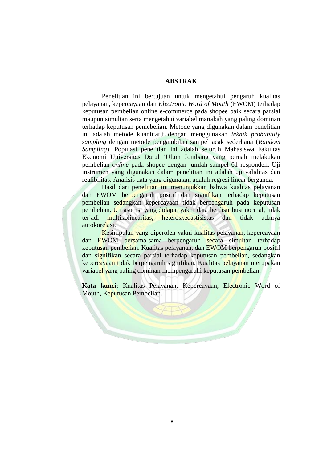## **ABSTRAK**

Penelitian ini bertujuan untuk mengetahui pengaruh kualitas pelayanan, kepercayaan dan *Electronic Word of Mouth* (EWOM) terhadap keputusan pembelian online e-commerce pada shopee baik secara parsial maupun simultan serta mengetahui variabel manakah yang paling dominan terhadap keputusan pemebelian. Metode yang digunakan dalam penelitian ini adalah metode kuantitatif dengan menggunakan *teknik probability sampling* dengan metode pengambilan sampel acak sederhana (*Random Sampling*). Populasi penelitian ini adalah seluruh Mahasiswa Fakultas Ekonomi Universitas Darul 'Ulum Jombang yang pernah melakukan pembelian *online* pada shopee dengan jumlah sampel 61 responden. Uji instrumen yang digunakan dalam penelitian ini adalah uji validitas dan realibilitas. Analisis data yang digunakan adalah regresi linear berganda.

Hasil dari penelitian ini menunjukkan bahwa kualitas pelayanan dan EWOM berpengaruh positif dan signifikan terhadap keputusan pembelian sedangkan kepercayaan tidak berpengaruh pada keputusan pembelian. Uji asumsi yang didapat yakni data berdistribusi normal, tidak terjadi multikolinearitas, heteroskedastisistas dan tidak adanya autokorelasi.

Kesimpulan yang diperoleh yakni kualitas pelayanan, kepercayaan dan EWOM bersama-sama berpengaruh secara simultan terhadap keputusan pembelian. Kualitas pelayanan, dan EWOM berpengaruh positif dan signifikan secara parsial terhadap keputusan pembelian, sedangkan kepercayaan tidak berpengaruh signifikan. Kualitas pelayanan merupakan variabel yang paling dominan mempengaruhi keputusan pembelian.

**Kata kunci**: Kualitas Pelayanan, Kepercayaan, Electronic Word of Mouth, Keputusan Pembelian.